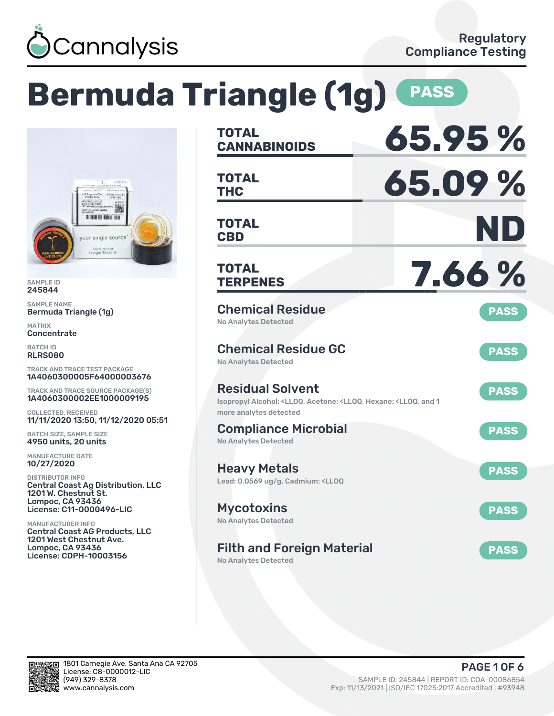

# **Bermuda Triangle (1g) PASS**



SAMPLE ID 245844

SAMPLE NAME Bermuda Triangle (1g)

MATRIX **Concentrate** 

BATCH ID RLRS080

TRACK AND TRACE TEST PACKAGE 1A4060300005F64000003676

TRACK AND TRACE SOURCE PACKAGE(S) 1A4060300002EE1000009195

COLLECTED, RECEIVED 11/11/2020 13:50, 11/12/2020 05:51

BATCH SIZE, SAMPLE SIZE 4950 units, 20 units

MANUFACTURE DATE 10/27/2020

DISTRIBUTOR INFO Central Coast Ag Distribution, LLC 1201 W. Chestnut St. Lompoc, CA 93436 License: C11-0000496-LIC

MANUFACTURER INFO Central Coast AG Products, LLC 1201 West Chestnut Ave. Lompoc, CA 93436 License: CDPH-10003156

| <b>TOTAL</b><br><b>CANNABINOIDS</b>                                                                                                 | 65.95%      |
|-------------------------------------------------------------------------------------------------------------------------------------|-------------|
| <b>TOTAL</b><br><b>THC</b>                                                                                                          | 65.09%      |
| <b>TOTAL</b><br><b>CBD</b>                                                                                                          | ND          |
| <b>TOTAL</b><br><b>TERPENES</b>                                                                                                     | 7.66 %      |
| <b>Chemical Residue</b><br><b>No Analytes Detected</b>                                                                              | <b>PASS</b> |
| <b>Chemical Residue GC</b><br><b>No Analytes Detected</b>                                                                           | <b>PASS</b> |
| <b>Residual Solvent</b><br>Isopropyl Alcohol: <lloq, 1<br="" <lloq,="" acetone:="" and="" hexane:="">more analytes detected</lloq,> | <b>PASS</b> |
| <b>Compliance Microbial</b><br><b>No Analytes Detected</b>                                                                          | <b>PASS</b> |
| <b>Heavy Metals</b><br>Lead: 0.0569 ug/g, Cadmium: <ll0q< td=""><td><b>PASS</b></td></ll0q<>                                        | <b>PASS</b> |
| <b>Mycotoxins</b><br>No Analytes Detected                                                                                           | <b>PASS</b> |
| <b>Filth and Foreign Material</b><br><b>No Analytes Detected</b>                                                                    | <b>PASS</b> |

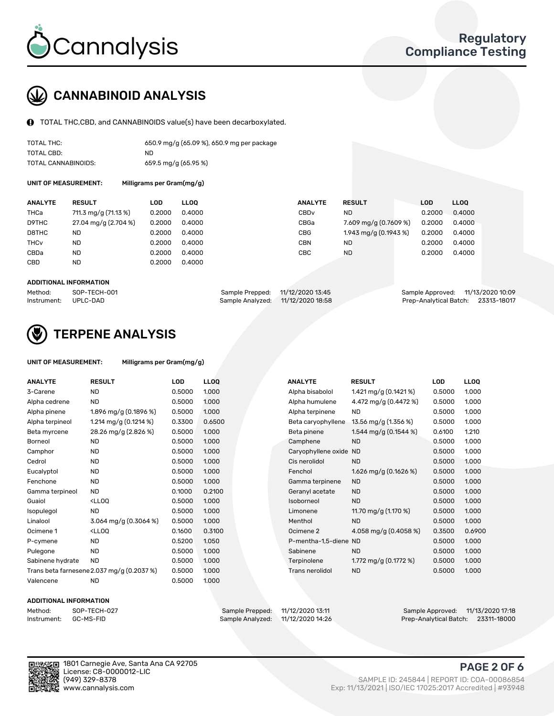

# CANNABINOID ANALYSIS

TOTAL THC,CBD, and CANNABINOIDS value(s) have been decarboxylated.

| TOTAL THC:          | 650.9 mg/g (65.09 %), 650.9 mg per package |
|---------------------|--------------------------------------------|
| TOTAL CBD:          | ND                                         |
| TOTAL CANNABINOIDS: | 659.5 mg/g (65.95 %)                       |

UNIT OF MEASUREMENT: Milligrams per Gram(mg/g)

| <b>ANALYTE</b>         | <b>RESULT</b>        | LOD    | <b>LLOO</b> | <b>ANALYTE</b>   | <b>RESULT</b>         | LOD    | LL <sub>00</sub> |
|------------------------|----------------------|--------|-------------|------------------|-----------------------|--------|------------------|
| THCa                   | 711.3 mg/g (71.13 %) | 0.2000 | 0.4000      | CBD <sub>v</sub> | ND.                   | 0.2000 | 0.4000           |
| D9THC                  | 27.04 mg/g (2.704 %) | 0.2000 | 0.4000      | CBGa             | 7.609 mg/g (0.7609 %) | 0.2000 | 0.4000           |
| D8THC                  | ND                   | 0.2000 | 0.4000      | <b>CBG</b>       | 1.943 mg/g (0.1943 %) | 0.2000 | 0.4000           |
| <b>THC<sub>v</sub></b> | ND                   | 0.2000 | 0.4000      | <b>CBN</b>       | ND.                   | 0.2000 | 0.4000           |
| CBDa                   | <b>ND</b>            | 0.2000 | 0.4000      | CBC              | <b>ND</b>             | 0.2000 | 0.4000           |
| CBD                    | ND                   | 0.2000 | 0.4000      |                  |                       |        |                  |
|                        |                      |        |             |                  |                       |        |                  |

#### ADDITIONAL INFORMATION

| Method:              | SOP-TECH-001 | Sample Prepped: 11/12/2020 13:45  | Sample Approved: 11/13/2020 10:09  |  |
|----------------------|--------------|-----------------------------------|------------------------------------|--|
| Instrument: UPLC-DAD |              | Sample Analyzed: 11/12/2020 18:58 | Prep-Analytical Batch: 23313-18017 |  |



## TERPENE ANALYSIS

| UNIT OF MEASUREMENT: | Milligrams per Gram(mg/g) |
|----------------------|---------------------------|
|----------------------|---------------------------|

| <b>ANALYTE</b>   | <b>RESULT</b>                                                                                                                     | <b>LOD</b> | <b>LLOQ</b> | <b>ANALYTE</b>         | <b>RESULT</b>            | LOD    | <b>LLOO</b> |
|------------------|-----------------------------------------------------------------------------------------------------------------------------------|------------|-------------|------------------------|--------------------------|--------|-------------|
| 3-Carene         | <b>ND</b>                                                                                                                         | 0.5000     | 1.000       | Alpha bisabolol        | 1.421 mg/g $(0.1421\%)$  | 0.5000 | 1.000       |
| Alpha cedrene    | <b>ND</b>                                                                                                                         | 0.5000     | 1.000       | Alpha humulene         | 4.472 mg/g (0.4472 %)    | 0.5000 | 1.000       |
| Alpha pinene     | 1.896 mg/g $(0.1896\%)$                                                                                                           | 0.5000     | 1.000       | Alpha terpinene        | <b>ND</b>                | 0.5000 | 1.000       |
| Alpha terpineol  | 1.214 mg/g $(0.1214\%)$                                                                                                           | 0.3300     | 0.6500      | Beta caryophyllene     | 13.56 mg/g (1.356 %)     | 0.5000 | 1.000       |
| Beta myrcene     | 28.26 mg/g (2.826 %)                                                                                                              | 0.5000     | 1.000       | Beta pinene            | 1.544 mg/g (0.1544 %)    | 0.6100 | 1.210       |
| <b>Borneol</b>   | ND.                                                                                                                               | 0.5000     | 1.000       | Camphene               | <b>ND</b>                | 0.5000 | 1.000       |
| Camphor          | <b>ND</b>                                                                                                                         | 0.5000     | 1.000       | Caryophyllene oxide ND |                          | 0.5000 | 1.000       |
| Cedrol           | <b>ND</b>                                                                                                                         | 0.5000     | 1.000       | Cis nerolidol          | <b>ND</b>                | 0.5000 | 1.000       |
| Eucalyptol       | <b>ND</b>                                                                                                                         | 0.5000     | 1.000       | Fenchol                | 1.626 mg/g (0.1626 %)    | 0.5000 | 1.000       |
| Fenchone         | <b>ND</b>                                                                                                                         | 0.5000     | 1.000       | Gamma terpinene        | <b>ND</b>                | 0.5000 | 1.000       |
| Gamma terpineol  | <b>ND</b>                                                                                                                         | 0.1000     | 0.2100      | Geranyl acetate        | <b>ND</b>                | 0.5000 | 1.000       |
| Guaiol           | <lloq< td=""><td>0.5000</td><td>1.000</td><td>Isoborneol</td><td><b>ND</b></td><td>0.5000</td><td>1.000</td></lloq<>              | 0.5000     | 1.000       | Isoborneol             | <b>ND</b>                | 0.5000 | 1.000       |
| Isopulegol       | <b>ND</b>                                                                                                                         | 0.5000     | 1.000       | Limonene               | 11.70 mg/g (1.170 %)     | 0.5000 | 1.000       |
| Linalool         | 3.064 mg/g (0.3064 %)                                                                                                             | 0.5000     | 1.000       | Menthol                | <b>ND</b>                | 0.5000 | 1.000       |
| Ocimene 1        | <lloq< td=""><td>0.1600</td><td>0.3100</td><td>Ocimene 2</td><td>4.058 mg/g (0.4058 %)</td><td>0.3500</td><td>0.6900</td></lloq<> | 0.1600     | 0.3100      | Ocimene 2              | 4.058 mg/g (0.4058 %)    | 0.3500 | 0.6900      |
| P-cymene         | <b>ND</b>                                                                                                                         | 0.5200     | 1.050       | P-mentha-1,5-diene ND  |                          | 0.5000 | 1.000       |
| Pulegone         | <b>ND</b>                                                                                                                         | 0.5000     | 1.000       | Sabinene               | <b>ND</b>                | 0.5000 | 1.000       |
| Sabinene hydrate | <b>ND</b>                                                                                                                         | 0.5000     | 1.000       | Terpinolene            | 1.772 mg/g $(0.1772 \%)$ | 0.5000 | 1.000       |
|                  | Trans beta farnesene 2.037 mg/g (0.2037 %)                                                                                        | 0.5000     | 1.000       | Trans nerolidol        | <b>ND</b>                | 0.5000 | 1.000       |
| Valencene        | <b>ND</b>                                                                                                                         | 0.5000     | 1.000       |                        |                          |        |             |

#### ADDITIONAL INFORMATION

| Method:     | SOP-TEC |
|-------------|---------|
| Instrument: | GC-MS-F |

Method: SOP-TECH-027 Sample Prepped: 11/12/2020 13:11 Sample Approved: 11/13/2020 17:18 Prep-Analytical Batch: 23311-18000

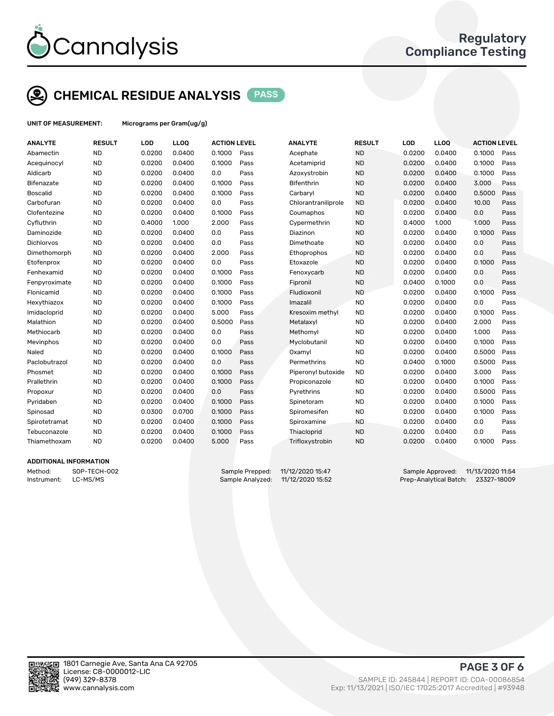

# CHEMICAL RESIDUE ANALYSIS PASS

UNIT OF MEASUREMENT: Micrograms per Gram(ug/g)

| <b>ANALYTE</b>    | <b>RESULT</b> | LOD    | LLOQ   | <b>ACTION LEVEL</b> |      | <b>ANALYTE</b>      | <b>RESULT</b> | LOD    | <b>LLOQ</b> | <b>ACTION LEVEL</b> |      |
|-------------------|---------------|--------|--------|---------------------|------|---------------------|---------------|--------|-------------|---------------------|------|
| Abamectin         | <b>ND</b>     | 0.0200 | 0.0400 | 0.1000              | Pass | Acephate            | <b>ND</b>     | 0.0200 | 0.0400      | 0.1000              | Pass |
| Acequinocyl       | <b>ND</b>     | 0.0200 | 0.0400 | 0.1000              | Pass | Acetamiprid         | <b>ND</b>     | 0.0200 | 0.0400      | 0.1000              | Pass |
| Aldicarb          | <b>ND</b>     | 0.0200 | 0.0400 | 0.0                 | Pass | Azoxystrobin        | <b>ND</b>     | 0.0200 | 0.0400      | 0.1000              | Pass |
| Bifenazate        | <b>ND</b>     | 0.0200 | 0.0400 | 0.1000              | Pass | <b>Bifenthrin</b>   | <b>ND</b>     | 0.0200 | 0.0400      | 3.000               | Pass |
| <b>Boscalid</b>   | <b>ND</b>     | 0.0200 | 0.0400 | 0.1000              | Pass | Carbaryl            | <b>ND</b>     | 0.0200 | 0.0400      | 0.5000              | Pass |
| Carbofuran        | <b>ND</b>     | 0.0200 | 0.0400 | 0.0                 | Pass | Chlorantraniliprole | <b>ND</b>     | 0.0200 | 0.0400      | 10.00               | Pass |
| Clofentezine      | <b>ND</b>     | 0.0200 | 0.0400 | 0.1000              | Pass | Coumaphos           | <b>ND</b>     | 0.0200 | 0.0400      | 0.0                 | Pass |
| Cyfluthrin        | <b>ND</b>     | 0.4000 | 1.000  | 2.000               | Pass | Cypermethrin        | <b>ND</b>     | 0.4000 | 1.000       | 1.000               | Pass |
| Daminozide        | <b>ND</b>     | 0.0200 | 0.0400 | 0.0                 | Pass | Diazinon            | <b>ND</b>     | 0.0200 | 0.0400      | 0.1000              | Pass |
| <b>Dichlorvos</b> | <b>ND</b>     | 0.0200 | 0.0400 | 0.0                 | Pass | Dimethoate          | <b>ND</b>     | 0.0200 | 0.0400      | 0.0                 | Pass |
| Dimethomorph      | <b>ND</b>     | 0.0200 | 0.0400 | 2.000               | Pass | Ethoprophos         | <b>ND</b>     | 0.0200 | 0.0400      | 0.0                 | Pass |
| Etofenprox        | <b>ND</b>     | 0.0200 | 0.0400 | 0.0                 | Pass | Etoxazole           | <b>ND</b>     | 0.0200 | 0.0400      | 0.1000              | Pass |
| Fenhexamid        | <b>ND</b>     | 0.0200 | 0.0400 | 0.1000              | Pass | Fenoxycarb          | <b>ND</b>     | 0.0200 | 0.0400      | 0.0                 | Pass |
| Fenpyroximate     | <b>ND</b>     | 0.0200 | 0.0400 | 0.1000              | Pass | Fipronil            | <b>ND</b>     | 0.0400 | 0.1000      | 0.0                 | Pass |
| Flonicamid        | <b>ND</b>     | 0.0200 | 0.0400 | 0.1000              | Pass | Fludioxonil         | <b>ND</b>     | 0.0200 | 0.0400      | 0.1000              | Pass |
| Hexythiazox       | <b>ND</b>     | 0.0200 | 0.0400 | 0.1000              | Pass | Imazalil            | <b>ND</b>     | 0.0200 | 0.0400      | 0.0                 | Pass |
| Imidacloprid      | <b>ND</b>     | 0.0200 | 0.0400 | 5.000               | Pass | Kresoxim methyl     | <b>ND</b>     | 0.0200 | 0.0400      | 0.1000              | Pass |
| Malathion         | <b>ND</b>     | 0.0200 | 0.0400 | 0.5000              | Pass | Metalaxyl           | <b>ND</b>     | 0.0200 | 0.0400      | 2.000               | Pass |
| Methiocarb        | <b>ND</b>     | 0.0200 | 0.0400 | 0.0                 | Pass | Methomyl            | <b>ND</b>     | 0.0200 | 0.0400      | 1.000               | Pass |
| Mevinphos         | <b>ND</b>     | 0.0200 | 0.0400 | 0.0                 | Pass | Myclobutanil        | <b>ND</b>     | 0.0200 | 0.0400      | 0.1000              | Pass |
| Naled             | <b>ND</b>     | 0.0200 | 0.0400 | 0.1000              | Pass | Oxamyl              | <b>ND</b>     | 0.0200 | 0.0400      | 0.5000              | Pass |
| Paclobutrazol     | <b>ND</b>     | 0.0200 | 0.0400 | 0.0                 | Pass | Permethrins         | <b>ND</b>     | 0.0400 | 0.1000      | 0.5000              | Pass |
| Phosmet           | <b>ND</b>     | 0.0200 | 0.0400 | 0.1000              | Pass | Piperonyl butoxide  | <b>ND</b>     | 0.0200 | 0.0400      | 3.000               | Pass |
| Prallethrin       | <b>ND</b>     | 0.0200 | 0.0400 | 0.1000              | Pass | Propiconazole       | <b>ND</b>     | 0.0200 | 0.0400      | 0.1000              | Pass |
| Propoxur          | <b>ND</b>     | 0.0200 | 0.0400 | 0.0                 | Pass | Pyrethrins          | <b>ND</b>     | 0.0200 | 0.0400      | 0.5000              | Pass |
| Pyridaben         | <b>ND</b>     | 0.0200 | 0.0400 | 0.1000              | Pass | Spinetoram          | <b>ND</b>     | 0.0200 | 0.0400      | 0.1000              | Pass |
| Spinosad          | <b>ND</b>     | 0.0300 | 0.0700 | 0.1000              | Pass | Spiromesifen        | <b>ND</b>     | 0.0200 | 0.0400      | 0.1000              | Pass |
| Spirotetramat     | <b>ND</b>     | 0.0200 | 0.0400 | 0.1000              | Pass | Spiroxamine         | <b>ND</b>     | 0.0200 | 0.0400      | 0.0                 | Pass |
| Tebuconazole      | <b>ND</b>     | 0.0200 | 0.0400 | 0.1000              | Pass | Thiacloprid         | <b>ND</b>     | 0.0200 | 0.0400      | 0.0                 | Pass |
| Thiamethoxam      | <b>ND</b>     | 0.0200 | 0.0400 | 5.000               | Pass | Trifloxystrobin     | <b>ND</b>     | 0.0200 | 0.0400      | 0.1000              | Pass |
|                   |               |        |        |                     |      |                     |               |        |             |                     |      |

#### ADDITIONAL INFORMATION

Instrument: LC-MS/MS Sample Analyzed: 11/12/2020 15:52 Prep-Analytical Batch: 23327-18009

Method: SOP-TECH-002 Sample Prepped: 11/12/2020 15:47<br>Instrument: LC-MS/MS Sample Approved: Sample Analyzed: 11/12/2020 15:52 Prep-Analytical Batch: 23327-18009



PAGE 3 OF 6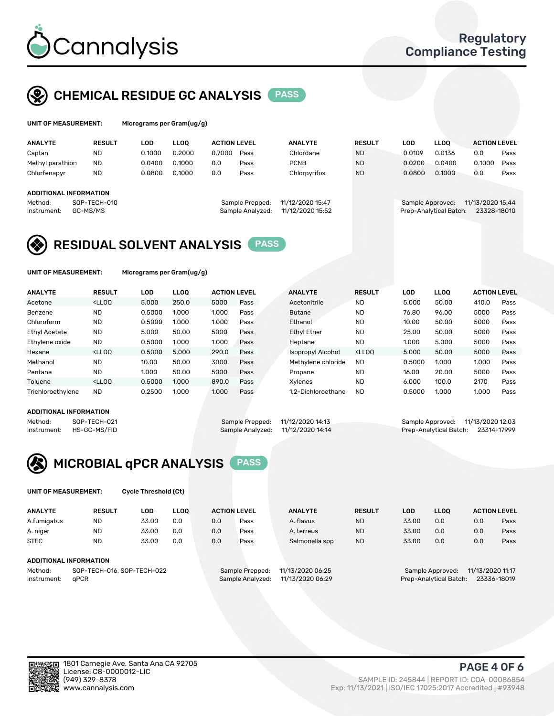

## CHEMICAL RESIDUE GC ANALYSIS PASS

ams per Gram(ug/g)

| <b>ANALYTE</b>                                   | <b>RESULT</b>            | LOD    | <b>LLOO</b> | <b>ACTION LEVEL</b> |                                     | <b>ANALYTE</b>                       | <b>RESULT</b> | LOD              | <b>LLOO</b>            | <b>ACTION LEVEL</b>             |      |
|--------------------------------------------------|--------------------------|--------|-------------|---------------------|-------------------------------------|--------------------------------------|---------------|------------------|------------------------|---------------------------------|------|
| Captan                                           | <b>ND</b>                | 0.1000 | 0.2000      | 0.7000              | Pass                                | Chlordane                            | <b>ND</b>     | 0.0109           | 0.0136                 | 0.0                             | Pass |
| Methyl parathion                                 | <b>ND</b>                | 0.0400 | 0.1000      | 0.0                 | Pass                                | <b>PCNB</b>                          | <b>ND</b>     | 0.0200           | 0.0400                 | 0.1000                          | Pass |
| Chlorfenapyr                                     | <b>ND</b>                | 0.0800 | 0.1000      | 0.0                 | Pass                                | Chlorpyrifos                         | <b>ND</b>     | 0.0800           | 0.1000                 | 0.0                             | Pass |
| ADDITIONAL INFORMATION<br>Method:<br>Instrument: | SOP-TECH-010<br>GC-MS/MS |        |             |                     | Sample Prepped:<br>Sample Analyzed: | 11/12/2020 15:47<br>11/12/2020 15:52 |               | Sample Approved: | Prep-Analytical Batch: | 11/13/2020 15:44<br>23328-18010 |      |

### RESIDUAL SOLVENT ANALYSIS PASS

UNIT OF MEASUREMENT: Micrograms per Gram(ug/g)

| <b>ANALYTE</b>       | <b>RESULT</b>                                                                                                                                                                                      | LOD    | <b>LLOO</b> | <b>ACTION LEVEL</b> |      | <b>ANALYTE</b>           | <b>RESULT</b>                                                               | LOD    | LLOO  | <b>ACTION LEVEL</b> |      |
|----------------------|----------------------------------------------------------------------------------------------------------------------------------------------------------------------------------------------------|--------|-------------|---------------------|------|--------------------------|-----------------------------------------------------------------------------|--------|-------|---------------------|------|
| Acetone              | <lloo< td=""><td>5.000</td><td>250.0</td><td>5000</td><td>Pass</td><td>Acetonitrile</td><td><b>ND</b></td><td>5.000</td><td>50.00</td><td>410.0</td><td>Pass</td></lloo<>                          | 5.000  | 250.0       | 5000                | Pass | Acetonitrile             | <b>ND</b>                                                                   | 5.000  | 50.00 | 410.0               | Pass |
| Benzene              | <b>ND</b>                                                                                                                                                                                          | 0.5000 | 1.000       | 1.000               | Pass | <b>Butane</b>            | <b>ND</b>                                                                   | 76.80  | 96.00 | 5000                | Pass |
| Chloroform           | <b>ND</b>                                                                                                                                                                                          | 0.5000 | 1.000       | 1.000               | Pass | Ethanol                  | <b>ND</b>                                                                   | 10.00  | 50.00 | 5000                | Pass |
| <b>Ethyl Acetate</b> | <b>ND</b>                                                                                                                                                                                          | 5.000  | 50.00       | 5000                | Pass | <b>Ethyl Ether</b>       | <b>ND</b>                                                                   | 25.00  | 50.00 | 5000                | Pass |
| Ethylene oxide       | <b>ND</b>                                                                                                                                                                                          | 0.5000 | 1.000       | 1.000               | Pass | Heptane                  | <b>ND</b>                                                                   | 1.000  | 5.000 | 5000                | Pass |
| Hexane               | <lloo< td=""><td>0.5000</td><td>5.000</td><td>290.0</td><td>Pass</td><td><b>Isopropyl Alcohol</b></td><td><lloo< td=""><td>5.000</td><td>50.00</td><td>5000</td><td>Pass</td></lloo<></td></lloo<> | 0.5000 | 5.000       | 290.0               | Pass | <b>Isopropyl Alcohol</b> | <lloo< td=""><td>5.000</td><td>50.00</td><td>5000</td><td>Pass</td></lloo<> | 5.000  | 50.00 | 5000                | Pass |
| Methanol             | <b>ND</b>                                                                                                                                                                                          | 10.00  | 50.00       | 3000                | Pass | Methylene chloride       | <b>ND</b>                                                                   | 0.5000 | 1.000 | 1.000               | Pass |
| Pentane              | <b>ND</b>                                                                                                                                                                                          | 1.000  | 50.00       | 5000                | Pass | Propane                  | <b>ND</b>                                                                   | 16.00  | 20.00 | 5000                | Pass |
| Toluene              | <lloo< td=""><td>0.5000</td><td>1.000</td><td>890.0</td><td>Pass</td><td>Xvlenes</td><td><b>ND</b></td><td>6.000</td><td>100.0</td><td>2170</td><td>Pass</td></lloo<>                              | 0.5000 | 1.000       | 890.0               | Pass | Xvlenes                  | <b>ND</b>                                                                   | 6.000  | 100.0 | 2170                | Pass |
| Trichloroethylene    | <b>ND</b>                                                                                                                                                                                          | 0.2500 | 1.000       | 1.000               | Pass | 1.2-Dichloroethane       | <b>ND</b>                                                                   | 0.5000 | 1.000 | 1.000               | Pass |

#### ADDITIONAL INFORMATION

| ADDITIONAL INFORMATION |              |                                   |                                  |                                    |  |
|------------------------|--------------|-----------------------------------|----------------------------------|------------------------------------|--|
| Method:                | SOP-TECH-021 |                                   | Sample Prepped: 11/12/2020 14:13 | Sample Approved: 11/13/2020 12:03  |  |
| Instrument:            | HS-GC-MS/FID | Sample Analyzed: 11/12/2020 14:14 |                                  | Prep-Analytical Batch: 23314-17999 |  |



UNIT OF MEASUREMENT: Cycle Threshold (Ct)

| <b>ANALYTE</b> | <b>RESULT</b>              | LOD   | <b>LLOO</b> |     | <b>ACTION LEVEL</b> | <b>ANALYTE</b>   | <b>RESULT</b> | <b>LOD</b> | <b>LLOO</b>            |                  | <b>ACTION LEVEL</b> |
|----------------|----------------------------|-------|-------------|-----|---------------------|------------------|---------------|------------|------------------------|------------------|---------------------|
| A.fumigatus    | <b>ND</b>                  | 33.00 | 0.0         | 0.0 | Pass                | A. flavus        | <b>ND</b>     | 33.00      | 0.0                    | 0.0              | Pass                |
| A. niger       | <b>ND</b>                  | 33.00 | 0.0         | 0.0 | Pass                | A. terreus       | <b>ND</b>     | 33.00      | 0.0                    | 0.0              | Pass                |
| <b>STEC</b>    | <b>ND</b>                  | 33.00 | 0.0         | 0.0 | Pass                | Salmonella spp   | <b>ND</b>     | 33.00      | 0.0                    | 0.0              | Pass                |
|                | ADDITIONAL INFORMATION     |       |             |     |                     |                  |               |            |                        |                  |                     |
| Method:        | SOP-TECH-016, SOP-TECH-022 |       |             |     | Sample Prepped:     | 11/13/2020 06:25 |               |            | Sample Approved:       | 11/13/2020 11:17 |                     |
| Instrument:    | aPCR                       |       |             |     | Sample Analyzed:    | 11/13/2020 06:29 |               |            | Prep-Analytical Batch: |                  | 23336-18019         |



PAGE 4 OF 6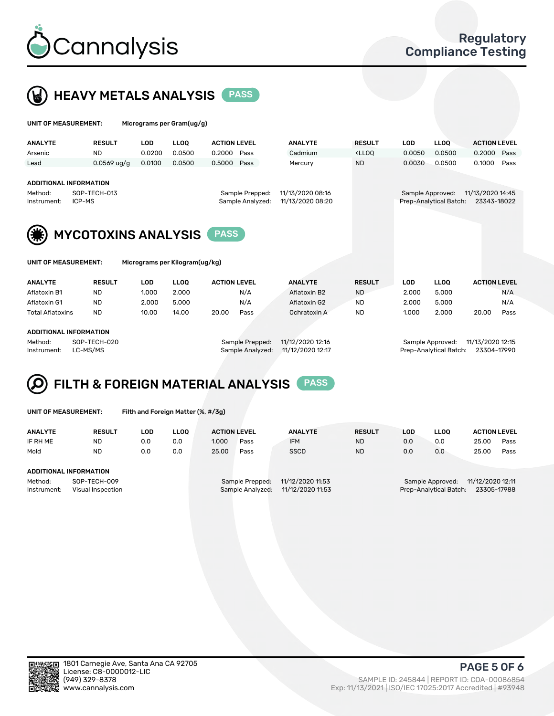



| UNIT OF MEASUREMENT:   |                                                  | Micrograms per Gram(ug/g) |             |                     |                                     |                                      |                                                                                 |            |                                            |                                 |      |
|------------------------|--------------------------------------------------|---------------------------|-------------|---------------------|-------------------------------------|--------------------------------------|---------------------------------------------------------------------------------|------------|--------------------------------------------|---------------------------------|------|
| <b>ANALYTE</b>         | <b>RESULT</b>                                    | LOD                       | <b>LLOO</b> | <b>ACTION LEVEL</b> |                                     | <b>ANALYTE</b>                       | <b>RESULT</b>                                                                   | <b>LOD</b> | <b>LLOO</b>                                | <b>ACTION LEVEL</b>             |      |
| Arsenic                | <b>ND</b>                                        | 0.0200                    | 0.0500      | 0.2000              | Pass                                | Cadmium                              | <lloq< td=""><td>0.0050</td><td>0.0500</td><td>0.2000</td><td>Pass</td></lloq<> | 0.0050     | 0.0500                                     | 0.2000                          | Pass |
| Lead                   | $0.0569$ ug/g                                    | 0.0100                    | 0.0500      | 0.5000 Pass         |                                     | Mercury                              | <b>ND</b>                                                                       | 0.0030     | 0.0500                                     | 0.1000                          | Pass |
| Method:<br>Instrument: | ADDITIONAL INFORMATION<br>SOP-TECH-013<br>ICP-MS |                           |             |                     | Sample Prepped:<br>Sample Analyzed: | 11/13/2020 08:16<br>11/13/2020 08:20 |                                                                                 |            | Sample Approved:<br>Prep-Analytical Batch: | 11/13/2020 14:45<br>23343-18022 |      |
| (第)                    | <b>MYCOTOXINS ANALYSIS</b>                       |                           |             | <b>PASS</b>         |                                     |                                      |                                                                                 |            |                                            |                                 |      |

|  | UNII UF MEASUREMENI: |  |
|--|----------------------|--|
|  |                      |  |

T OF MEASUREMENT: Micrograms per Kilogram(ug/kg)

| <b>ANALYTE</b>          | <b>RESULT</b> | LOD   | <b>LLOO</b> | <b>ACTION LEVEL</b> |      | <b>ANALYTE</b> | <b>RESULT</b> | LOD   | <b>LLOO</b> | <b>ACTION LEVEL</b> |      |
|-------------------------|---------------|-------|-------------|---------------------|------|----------------|---------------|-------|-------------|---------------------|------|
| Aflatoxin B1            | <b>ND</b>     | 1.000 | 2.000       |                     | N/A  | Aflatoxin B2   | <b>ND</b>     | 2.000 | 5.000       |                     | N/A  |
| Aflatoxin G1            | <b>ND</b>     | 2.000 | 5.000       |                     | N/A  | Aflatoxin G2   | <b>ND</b>     | 2.000 | 5.000       |                     | N/A  |
| <b>Total Aflatoxins</b> | <b>ND</b>     | 10.00 | 14.00       | 20.00               | Pass | Ochratoxin A   | <b>ND</b>     | 1.000 | 2.000       | 20.00               | Pass |
|                         |               |       |             |                     |      |                |               |       |             |                     |      |

#### ADDITIONAL INFORMATION

Method: SOP-TECH-020 Sample Prepped: 11/12/2020 12:16 Sample Approved: 11/13/2020 12:15 Instrument: LC-MS/MS Sample Analyzed: 11/12/2020 12:17 Prep-Analytical Batch: 23304-17990



|  |  | UNIT OF MEASUREMENT: |
|--|--|----------------------|
|  |  |                      |

Filth and Foreign Matter (%, #/3g)

| <b>ANALYTE</b>         | <b>RESULT</b>                     | LOD | <b>LLOO</b> | <b>ACTION LEVEL</b> |                                     | <b>ANALYTE</b>                       | <b>RESULT</b> | LOD | LLOO                                       | <b>ACTION LEVEL</b>             |      |
|------------------------|-----------------------------------|-----|-------------|---------------------|-------------------------------------|--------------------------------------|---------------|-----|--------------------------------------------|---------------------------------|------|
| IF RH ME               | <b>ND</b>                         | 0.0 | 0.0         | 1.000               | Pass                                | <b>IFM</b>                           | <b>ND</b>     | 0.0 | 0.0                                        | 25.00                           | Pass |
| Mold                   | <b>ND</b>                         | 0.0 | 0.0         | 25.00               | Pass                                | <b>SSCD</b>                          | <b>ND</b>     | 0.0 | 0.0                                        | 25.00                           | Pass |
| ADDITIONAL INFORMATION |                                   |     |             |                     |                                     |                                      |               |     |                                            |                                 |      |
| Method:<br>Instrument: | SOP-TECH-009<br>Visual Inspection |     |             |                     | Sample Prepped:<br>Sample Analyzed: | 11/12/2020 11:53<br>11/12/2020 11:53 |               |     | Sample Approved:<br>Prep-Analytical Batch: | 11/12/2020 12:11<br>23305-17988 |      |